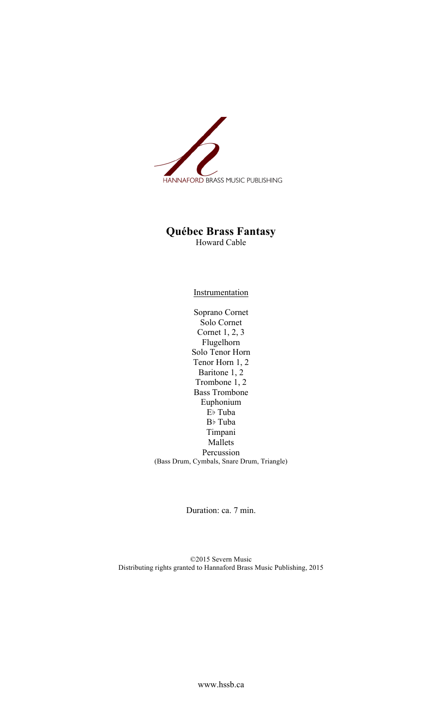

## **Québec Brass Fantasy**

Howard Cable

**Instrumentation** 

Soprano Cornet Solo Cornet Cornet 1, 2, 3 Flugelhorn Solo Tenor Horn Tenor Horn 1, 2 Baritone 1, 2 Trombone 1, 2 Bass Trombone Euphonium E♭ Tuba B♭ Tuba Timpani Mallets Percussion (Bass Drum, Cymbals, Snare Drum, Triangle)

Duration: ca. 7 min.

©2015 Severn Music Distributing rights granted to Hannaford Brass Music Publishing, 2015